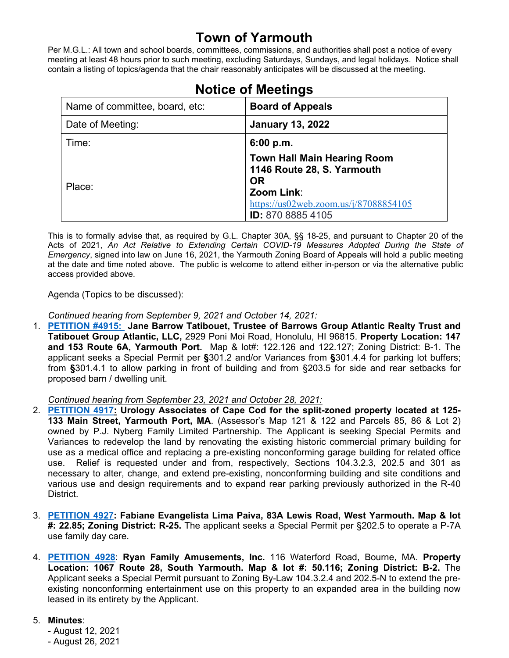# **Town of Yarmouth**

Per M.G.L.: All town and school boards, committees, commissions, and authorities shall post a notice of every meeting at least 48 hours prior to such meeting, excluding Saturdays, Sundays, and legal holidays. Notice shall contain a listing of topics/agenda that the chair reasonably anticipates will be discussed at the meeting.

| Name of committee, board, etc: | <b>Board of Appeals</b>                                                                                                                                          |
|--------------------------------|------------------------------------------------------------------------------------------------------------------------------------------------------------------|
| Date of Meeting:               | <b>January 13, 2022</b>                                                                                                                                          |
| Time:                          | 6:00 p.m.                                                                                                                                                        |
| Place:                         | <b>Town Hall Main Hearing Room</b><br>1146 Route 28, S. Yarmouth<br><b>OR</b><br>Zoom Link:<br>https://us02web.zoom.us/j/87088854105<br><b>ID:</b> 870 8885 4105 |

# **Notice of Meetings**

This is to formally advise that, as required by G.L. Chapter 30A, §§ 18-25, and pursuant to Chapter 20 of the Acts of 2021, *An Act Relative to Extending Certain COVID-19 Measures Adopted During the State of Emergency*, signed into law on June 16, 2021, the Yarmouth Zoning Board of Appeals will hold a public meeting at the date and time noted above. The public is welcome to attend either in-person or via the alternative public access provided above.

#### Agenda (Topics to be discussed):

*Continued hearing from September 9, 2021 and October 14, 2021:*

1. **[PETITION #4915:](https://lf.yarmouth.ma.us/WebLink/Browse.aspx?id=650960&dbid=0&repo=LASERFICHE) Jane Barrow Tatibouet, Trustee of Barrows Group Atlantic Realty Trust and Tatibouet Group Atlantic, LLC,** 2929 Poni Moi Road, Honolulu, HI 96815. **Property Location: 147 and 153 Route 6A, Yarmouth Port.** Map & lot#: 122.126 and 122.127; Zoning District: B-1. The applicant seeks a Special Permit per **§**301.2 and/or Variances from **§**301.4.4 for parking lot buffers; from **§**301.4.1 to allow parking in front of building and from §203.5 for side and rear setbacks for proposed barn / dwelling unit.

*Continued hearing from September 23, 2021 and October 28, 2021:*

- 2. **[PETITION 4917:](https://lf.yarmouth.ma.us/WebLink/Browse.aspx?id=1612410&dbid=0&repo=LASERFICHE) Urology Associates of Cape Cod for the split-zoned property located at 125- 133 Main Street, Yarmouth Port, MA**. (Assessor's Map 121 & 122 and Parcels 85, 86 & Lot 2) owned by P.J. Nyberg Family Limited Partnership. The Applicant is seeking Special Permits and Variances to redevelop the land by renovating the existing historic commercial primary building for use as a medical office and replacing a pre-existing nonconforming garage building for related office use. Relief is requested under and from, respectively, Sections 104.3.2.3, 202.5 and 301 as necessary to alter, change, and extend pre-existing, nonconforming building and site conditions and various use and design requirements and to expand rear parking previously authorized in the R-40 District.
- 3. **[PETITION 4927:](https://lf.yarmouth.ma.us/WebLink/Browse.aspx?id=728977&dbid=0&repo=LASERFICHE) Fabiane Evangelista Lima Paiva, 83A Lewis Road, West Yarmouth. Map & lot #: 22.85; Zoning District: R-25.** The applicant seeks a Special Permit per §202.5 to operate a P-7A use family day care.
- 4. **[PETITION 4928](https://lf.yarmouth.ma.us/WebLink/Browse.aspx?id=647682&dbid=0&repo=LASERFICHE)**: **Ryan Family Amusements, Inc.** 116 Waterford Road, Bourne, MA. **Property Location: 1067 Route 28, South Yarmouth. Map & lot #: 50.116; Zoning District: B-2.** The Applicant seeks a Special Permit pursuant to Zoning By-Law 104.3.2.4 and 202.5-N to extend the preexisting nonconforming entertainment use on this property to an expanded area in the building now leased in its entirety by the Applicant.

## 5. **Minutes**:

- August 12, 2021 - August 26, 2021